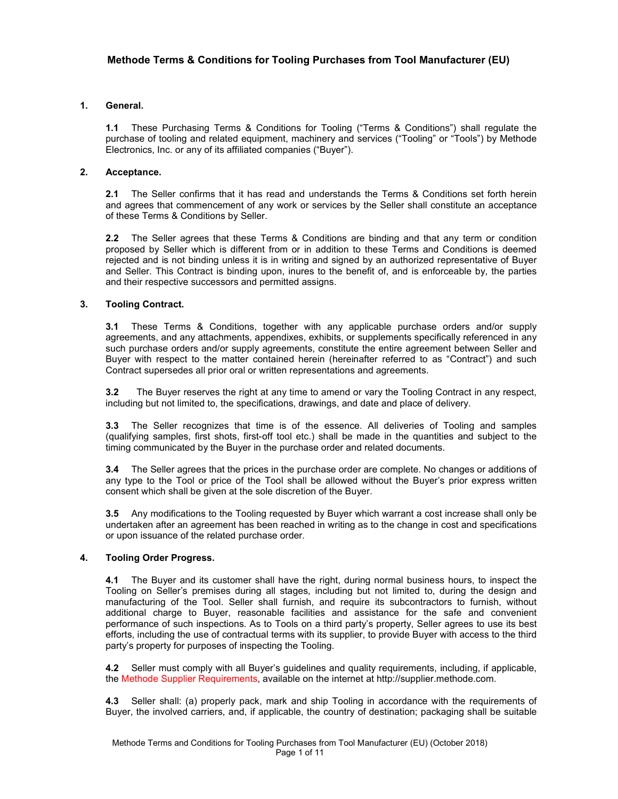# **1. General.**

**1.1** These Purchasing Terms & Conditions for Tooling ("Terms & Conditions") shall regulate the purchase of tooling and related equipment, machinery and services ("Tooling" or "Tools") by Methode Electronics, Inc. or any of its affiliated companies ("Buyer").

## **2. Acceptance.**

**2.1** The Seller confirms that it has read and understands the Terms & Conditions set forth herein and agrees that commencement of any work or services by the Seller shall constitute an acceptance of these Terms & Conditions by Seller.

**2.2** The Seller agrees that these Terms & Conditions are binding and that any term or condition proposed by Seller which is different from or in addition to these Terms and Conditions is deemed rejected and is not binding unless it is in writing and signed by an authorized representative of Buyer and Seller. This Contract is binding upon, inures to the benefit of, and is enforceable by, the parties and their respective successors and permitted assigns.

## **3. Tooling Contract.**

**3.1** These Terms & Conditions, together with any applicable purchase orders and/or supply agreements, and any attachments, appendixes, exhibits, or supplements specifically referenced in any such purchase orders and/or supply agreements, constitute the entire agreement between Seller and Buyer with respect to the matter contained herein (hereinafter referred to as "Contract") and such Contract supersedes all prior oral or written representations and agreements.

**3.2** The Buyer reserves the right at any time to amend or vary the Tooling Contract in any respect, including but not limited to, the specifications, drawings, and date and place of delivery.

**3.3** The Seller recognizes that time is of the essence. All deliveries of Tooling and samples (qualifying samples, first shots, first-off tool etc.) shall be made in the quantities and subject to the timing communicated by the Buyer in the purchase order and related documents.

**3.4** The Seller agrees that the prices in the purchase order are complete. No changes or additions of any type to the Tool or price of the Tool shall be allowed without the Buyer's prior express written consent which shall be given at the sole discretion of the Buyer.

**3.5** Any modifications to the Tooling requested by Buyer which warrant a cost increase shall only be undertaken after an agreement has been reached in writing as to the change in cost and specifications or upon issuance of the related purchase order.

## **4. Tooling Order Progress.**

**4.1** The Buyer and its customer shall have the right, during normal business hours, to inspect the Tooling on Seller's premises during all stages, including but not limited to, during the design and manufacturing of the Tool. Seller shall furnish, and require its subcontractors to furnish, without additional charge to Buyer, reasonable facilities and assistance for the safe and convenient performance of such inspections. As to Tools on a third party's property, Seller agrees to use its best efforts, including the use of contractual terms with its supplier, to provide Buyer with access to the third party's property for purposes of inspecting the Tooling.

**4.2** Seller must comply with all Buyer's guidelines and quality requirements, including, if applicable, the Methode Supplier Requirements, available on the internet at http://supplier.methode.com.

**4.3** Seller shall: (a) properly pack, mark and ship Tooling in accordance with the requirements of Buyer, the involved carriers, and, if applicable, the country of destination; packaging shall be suitable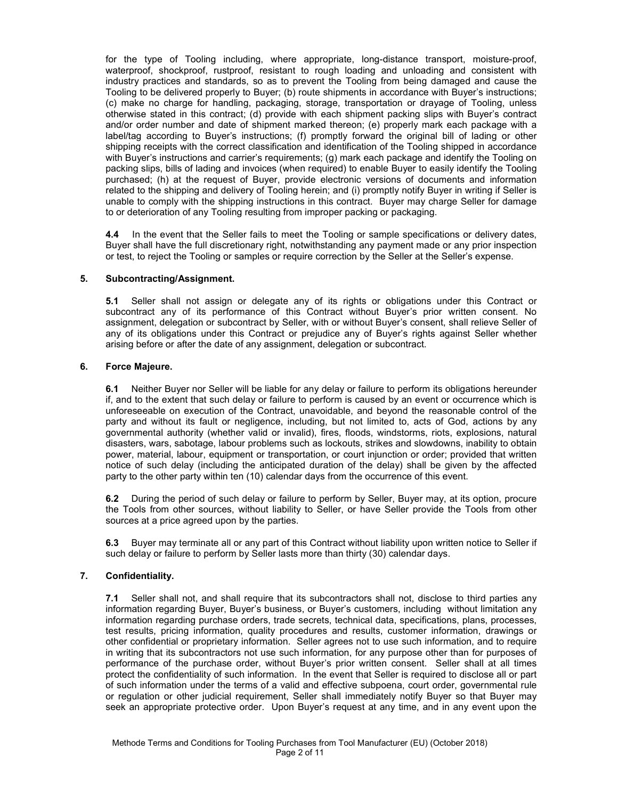for the type of Tooling including, where appropriate, long-distance transport, moisture-proof, waterproof, shockproof, rustproof, resistant to rough loading and unloading and consistent with industry practices and standards, so as to prevent the Tooling from being damaged and cause the Tooling to be delivered properly to Buyer; (b) route shipments in accordance with Buyer's instructions; (c) make no charge for handling, packaging, storage, transportation or drayage of Tooling, unless otherwise stated in this contract; (d) provide with each shipment packing slips with Buyer's contract and/or order number and date of shipment marked thereon; (e) properly mark each package with a label/tag according to Buyer's instructions; (f) promptly forward the original bill of lading or other shipping receipts with the correct classification and identification of the Tooling shipped in accordance with Buyer's instructions and carrier's requirements; (g) mark each package and identify the Tooling on packing slips, bills of lading and invoices (when required) to enable Buyer to easily identify the Tooling purchased; (h) at the request of Buyer, provide electronic versions of documents and information related to the shipping and delivery of Tooling herein; and (i) promptly notify Buyer in writing if Seller is unable to comply with the shipping instructions in this contract. Buyer may charge Seller for damage to or deterioration of any Tooling resulting from improper packing or packaging.

**4.4** In the event that the Seller fails to meet the Tooling or sample specifications or delivery dates, Buyer shall have the full discretionary right, notwithstanding any payment made or any prior inspection or test, to reject the Tooling or samples or require correction by the Seller at the Seller's expense.

## **5. Subcontracting/Assignment.**

**5.1** Seller shall not assign or delegate any of its rights or obligations under this Contract or subcontract any of its performance of this Contract without Buyer's prior written consent. No assignment, delegation or subcontract by Seller, with or without Buyer's consent, shall relieve Seller of any of its obligations under this Contract or prejudice any of Buyer's rights against Seller whether arising before or after the date of any assignment, delegation or subcontract.

#### **6. Force Majeure.**

**6.1** Neither Buyer nor Seller will be liable for any delay or failure to perform its obligations hereunder if, and to the extent that such delay or failure to perform is caused by an event or occurrence which is unforeseeable on execution of the Contract, unavoidable, and beyond the reasonable control of the party and without its fault or negligence, including, but not limited to, acts of God, actions by any governmental authority (whether valid or invalid), fires, floods, windstorms, riots, explosions, natural disasters, wars, sabotage, labour problems such as lockouts, strikes and slowdowns, inability to obtain power, material, labour, equipment or transportation, or court injunction or order; provided that written notice of such delay (including the anticipated duration of the delay) shall be given by the affected party to the other party within ten (10) calendar days from the occurrence of this event.

**6.2** During the period of such delay or failure to perform by Seller, Buyer may, at its option, procure the Tools from other sources, without liability to Seller, or have Seller provide the Tools from other sources at a price agreed upon by the parties.

**6.3** Buyer may terminate all or any part of this Contract without liability upon written notice to Seller if such delay or failure to perform by Seller lasts more than thirty (30) calendar days.

#### **7. Confidentiality.**

**7.1** Seller shall not, and shall require that its subcontractors shall not, disclose to third parties any information regarding Buyer, Buyer's business, or Buyer's customers, including without limitation any information regarding purchase orders, trade secrets, technical data, specifications, plans, processes, test results, pricing information, quality procedures and results, customer information, drawings or other confidential or proprietary information. Seller agrees not to use such information, and to require in writing that its subcontractors not use such information, for any purpose other than for purposes of performance of the purchase order, without Buyer's prior written consent. Seller shall at all times protect the confidentiality of such information. In the event that Seller is required to disclose all or part of such information under the terms of a valid and effective subpoena, court order, governmental rule or regulation or other judicial requirement, Seller shall immediately notify Buyer so that Buyer may seek an appropriate protective order. Upon Buyer's request at any time, and in any event upon the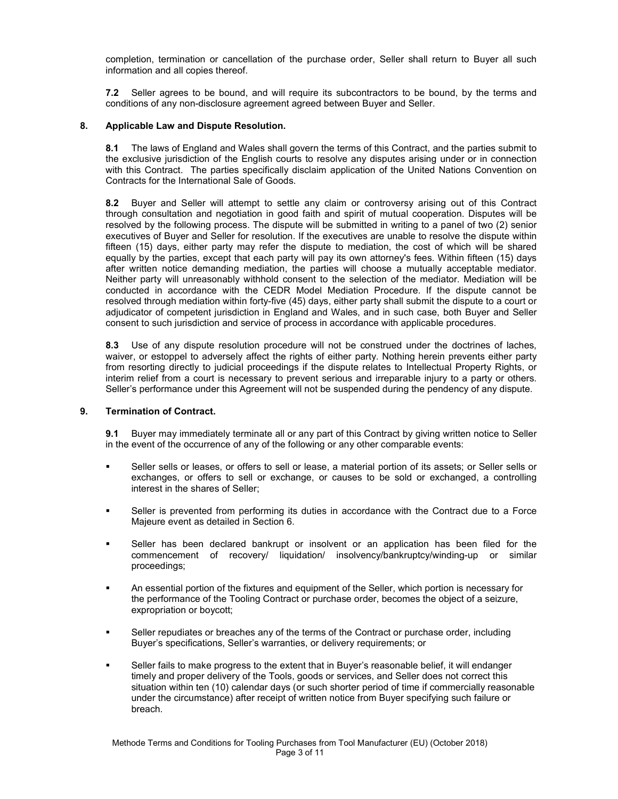completion, termination or cancellation of the purchase order, Seller shall return to Buyer all such information and all copies thereof.

**7.2** Seller agrees to be bound, and will require its subcontractors to be bound, by the terms and conditions of any non-disclosure agreement agreed between Buyer and Seller.

## **8. Applicable Law and Dispute Resolution.**

**8.1** The laws of England and Wales shall govern the terms of this Contract, and the parties submit to the exclusive jurisdiction of the English courts to resolve any disputes arising under or in connection with this Contract. The parties specifically disclaim application of the United Nations Convention on Contracts for the International Sale of Goods.

**8.2** Buyer and Seller will attempt to settle any claim or controversy arising out of this Contract through consultation and negotiation in good faith and spirit of mutual cooperation. Disputes will be resolved by the following process. The dispute will be submitted in writing to a panel of two (2) senior executives of Buyer and Seller for resolution. If the executives are unable to resolve the dispute within fifteen (15) days, either party may refer the dispute to mediation, the cost of which will be shared equally by the parties, except that each party will pay its own attorney's fees. Within fifteen (15) days after written notice demanding mediation, the parties will choose a mutually acceptable mediator. Neither party will unreasonably withhold consent to the selection of the mediator. Mediation will be conducted in accordance with the CEDR Model Mediation Procedure. If the dispute cannot be resolved through mediation within forty-five (45) days, either party shall submit the dispute to a court or adjudicator of competent jurisdiction in England and Wales, and in such case, both Buyer and Seller consent to such jurisdiction and service of process in accordance with applicable procedures.

**8.3** Use of any dispute resolution procedure will not be construed under the doctrines of laches, waiver, or estoppel to adversely affect the rights of either party. Nothing herein prevents either party from resorting directly to judicial proceedings if the dispute relates to Intellectual Property Rights, or interim relief from a court is necessary to prevent serious and irreparable injury to a party or others. Seller's performance under this Agreement will not be suspended during the pendency of any dispute.

#### **9. Termination of Contract.**

**9.1** Buyer may immediately terminate all or any part of this Contract by giving written notice to Seller in the event of the occurrence of any of the following or any other comparable events:

- Seller sells or leases, or offers to sell or lease, a material portion of its assets; or Seller sells or exchanges, or offers to sell or exchange, or causes to be sold or exchanged, a controlling interest in the shares of Seller;
- Seller is prevented from performing its duties in accordance with the Contract due to a Force Majeure event as detailed in Section 6.
- Seller has been declared bankrupt or insolvent or an application has been filed for the commencement of recovery/ liquidation/ insolvency/bankruptcy/winding-up or similar proceedings;
- An essential portion of the fixtures and equipment of the Seller, which portion is necessary for the performance of the Tooling Contract or purchase order, becomes the object of a seizure, expropriation or boycott;
- Seller repudiates or breaches any of the terms of the Contract or purchase order, including Buyer's specifications, Seller's warranties, or delivery requirements; or
- Seller fails to make progress to the extent that in Buyer's reasonable belief, it will endanger timely and proper delivery of the Tools, goods or services, and Seller does not correct this situation within ten (10) calendar days (or such shorter period of time if commercially reasonable under the circumstance) after receipt of written notice from Buyer specifying such failure or breach.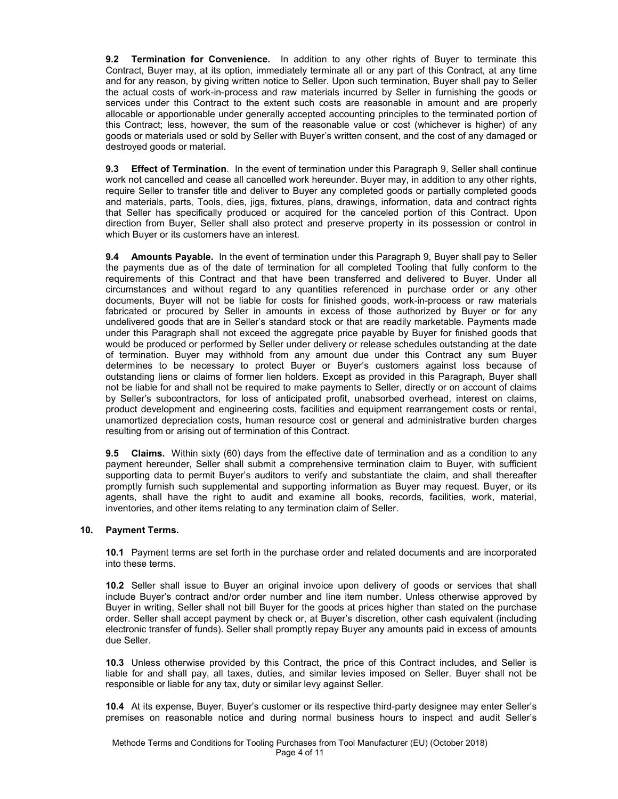**9.2 Termination for Convenience.** In addition to any other rights of Buyer to terminate this Contract, Buyer may, at its option, immediately terminate all or any part of this Contract, at any time and for any reason, by giving written notice to Seller. Upon such termination, Buyer shall pay to Seller the actual costs of work-in-process and raw materials incurred by Seller in furnishing the goods or services under this Contract to the extent such costs are reasonable in amount and are properly allocable or apportionable under generally accepted accounting principles to the terminated portion of this Contract; less, however, the sum of the reasonable value or cost (whichever is higher) of any goods or materials used or sold by Seller with Buyer's written consent, and the cost of any damaged or destroyed goods or material.

**9.3 Effect of Termination**. In the event of termination under this Paragraph 9, Seller shall continue work not cancelled and cease all cancelled work hereunder. Buyer may, in addition to any other rights, require Seller to transfer title and deliver to Buyer any completed goods or partially completed goods and materials, parts, Tools, dies, jigs, fixtures, plans, drawings, information, data and contract rights that Seller has specifically produced or acquired for the canceled portion of this Contract. Upon direction from Buyer, Seller shall also protect and preserve property in its possession or control in which Buyer or its customers have an interest.

**9.4 Amounts Payable.** In the event of termination under this Paragraph 9, Buyer shall pay to Seller the payments due as of the date of termination for all completed Tooling that fully conform to the requirements of this Contract and that have been transferred and delivered to Buyer. Under all circumstances and without regard to any quantities referenced in purchase order or any other documents, Buyer will not be liable for costs for finished goods, work-in-process or raw materials fabricated or procured by Seller in amounts in excess of those authorized by Buyer or for any undelivered goods that are in Seller's standard stock or that are readily marketable. Payments made under this Paragraph shall not exceed the aggregate price payable by Buyer for finished goods that would be produced or performed by Seller under delivery or release schedules outstanding at the date of termination. Buyer may withhold from any amount due under this Contract any sum Buyer determines to be necessary to protect Buyer or Buyer's customers against loss because of outstanding liens or claims of former lien holders. Except as provided in this Paragraph, Buyer shall not be liable for and shall not be required to make payments to Seller, directly or on account of claims by Seller's subcontractors, for loss of anticipated profit, unabsorbed overhead, interest on claims, product development and engineering costs, facilities and equipment rearrangement costs or rental, unamortized depreciation costs, human resource cost or general and administrative burden charges resulting from or arising out of termination of this Contract.

**9.5 Claims.** Within sixty (60) days from the effective date of termination and as a condition to any payment hereunder, Seller shall submit a comprehensive termination claim to Buyer, with sufficient supporting data to permit Buyer's auditors to verify and substantiate the claim, and shall thereafter promptly furnish such supplemental and supporting information as Buyer may request. Buyer, or its agents, shall have the right to audit and examine all books, records, facilities, work, material, inventories, and other items relating to any termination claim of Seller.

#### **10. Payment Terms.**

**10.1** Payment terms are set forth in the purchase order and related documents and are incorporated into these terms.

**10.2** Seller shall issue to Buyer an original invoice upon delivery of goods or services that shall include Buyer's contract and/or order number and line item number. Unless otherwise approved by Buyer in writing, Seller shall not bill Buyer for the goods at prices higher than stated on the purchase order. Seller shall accept payment by check or, at Buyer's discretion, other cash equivalent (including electronic transfer of funds). Seller shall promptly repay Buyer any amounts paid in excess of amounts due Seller.

**10.3** Unless otherwise provided by this Contract, the price of this Contract includes, and Seller is liable for and shall pay, all taxes, duties, and similar levies imposed on Seller. Buyer shall not be responsible or liable for any tax, duty or similar levy against Seller.

**10.4** At its expense, Buyer, Buyer's customer or its respective third-party designee may enter Seller's premises on reasonable notice and during normal business hours to inspect and audit Seller's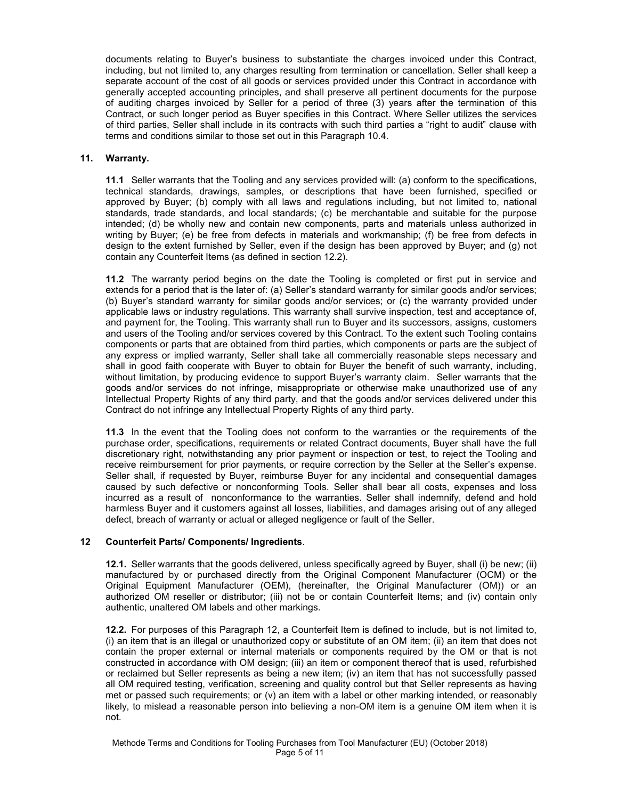documents relating to Buyer's business to substantiate the charges invoiced under this Contract, including, but not limited to, any charges resulting from termination or cancellation. Seller shall keep a separate account of the cost of all goods or services provided under this Contract in accordance with generally accepted accounting principles, and shall preserve all pertinent documents for the purpose of auditing charges invoiced by Seller for a period of three (3) years after the termination of this Contract, or such longer period as Buyer specifies in this Contract. Where Seller utilizes the services of third parties, Seller shall include in its contracts with such third parties a "right to audit" clause with terms and conditions similar to those set out in this Paragraph 10.4.

## **11. Warranty.**

**11.1** Seller warrants that the Tooling and any services provided will: (a) conform to the specifications, technical standards, drawings, samples, or descriptions that have been furnished, specified or approved by Buyer; (b) comply with all laws and regulations including, but not limited to, national standards, trade standards, and local standards; (c) be merchantable and suitable for the purpose intended; (d) be wholly new and contain new components, parts and materials unless authorized in writing by Buyer; (e) be free from defects in materials and workmanship; (f) be free from defects in design to the extent furnished by Seller, even if the design has been approved by Buyer; and (g) not contain any Counterfeit Items (as defined in section 12.2).

**11.2** The warranty period begins on the date the Tooling is completed or first put in service and extends for a period that is the later of: (a) Seller's standard warranty for similar goods and/or services; (b) Buyer's standard warranty for similar goods and/or services; or (c) the warranty provided under applicable laws or industry regulations. This warranty shall survive inspection, test and acceptance of, and payment for, the Tooling. This warranty shall run to Buyer and its successors, assigns, customers and users of the Tooling and/or services covered by this Contract. To the extent such Tooling contains components or parts that are obtained from third parties, which components or parts are the subject of any express or implied warranty, Seller shall take all commercially reasonable steps necessary and shall in good faith cooperate with Buyer to obtain for Buyer the benefit of such warranty, including, without limitation, by producing evidence to support Buyer's warranty claim. Seller warrants that the goods and/or services do not infringe, misappropriate or otherwise make unauthorized use of any Intellectual Property Rights of any third party, and that the goods and/or services delivered under this Contract do not infringe any Intellectual Property Rights of any third party.

**11.3** In the event that the Tooling does not conform to the warranties or the requirements of the purchase order, specifications, requirements or related Contract documents, Buyer shall have the full discretionary right, notwithstanding any prior payment or inspection or test, to reject the Tooling and receive reimbursement for prior payments, or require correction by the Seller at the Seller's expense. Seller shall, if requested by Buyer, reimburse Buyer for any incidental and consequential damages caused by such defective or nonconforming Tools. Seller shall bear all costs, expenses and loss incurred as a result of nonconformance to the warranties. Seller shall indemnify, defend and hold harmless Buyer and it customers against all losses, liabilities, and damages arising out of any alleged defect, breach of warranty or actual or alleged negligence or fault of the Seller.

#### **12 Counterfeit Parts/ Components/ Ingredients**.

**12.1.** Seller warrants that the goods delivered, unless specifically agreed by Buyer, shall (i) be new; (ii) manufactured by or purchased directly from the Original Component Manufacturer (OCM) or the Original Equipment Manufacturer (OEM), (hereinafter, the Original Manufacturer (OM)) or an authorized OM reseller or distributor; (iii) not be or contain Counterfeit Items; and (iv) contain only authentic, unaltered OM labels and other markings.

**12.2.** For purposes of this Paragraph 12, a Counterfeit Item is defined to include, but is not limited to, (i) an item that is an illegal or unauthorized copy or substitute of an OM item; (ii) an item that does not contain the proper external or internal materials or components required by the OM or that is not constructed in accordance with OM design; (iii) an item or component thereof that is used, refurbished or reclaimed but Seller represents as being a new item; (iv) an item that has not successfully passed all OM required testing, verification, screening and quality control but that Seller represents as having met or passed such requirements; or (v) an item with a label or other marking intended, or reasonably likely, to mislead a reasonable person into believing a non-OM item is a genuine OM item when it is not.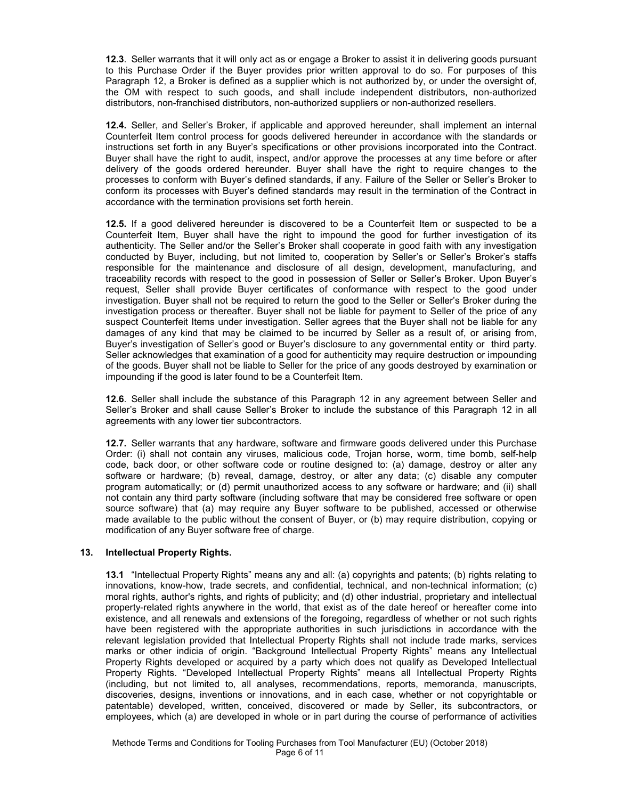**12.3**. Seller warrants that it will only act as or engage a Broker to assist it in delivering goods pursuant to this Purchase Order if the Buyer provides prior written approval to do so. For purposes of this Paragraph 12, a Broker is defined as a supplier which is not authorized by, or under the oversight of, the OM with respect to such goods, and shall include independent distributors, non-authorized distributors, non-franchised distributors, non-authorized suppliers or non-authorized resellers.

**12.4.** Seller, and Seller's Broker, if applicable and approved hereunder, shall implement an internal Counterfeit Item control process for goods delivered hereunder in accordance with the standards or instructions set forth in any Buyer's specifications or other provisions incorporated into the Contract. Buyer shall have the right to audit, inspect, and/or approve the processes at any time before or after delivery of the goods ordered hereunder. Buyer shall have the right to require changes to the processes to conform with Buyer's defined standards, if any. Failure of the Seller or Seller's Broker to conform its processes with Buyer's defined standards may result in the termination of the Contract in accordance with the termination provisions set forth herein.

**12.5.** If a good delivered hereunder is discovered to be a Counterfeit Item or suspected to be a Counterfeit Item, Buyer shall have the right to impound the good for further investigation of its authenticity. The Seller and/or the Seller's Broker shall cooperate in good faith with any investigation conducted by Buyer, including, but not limited to, cooperation by Seller's or Seller's Broker's staffs responsible for the maintenance and disclosure of all design, development, manufacturing, and traceability records with respect to the good in possession of Seller or Seller's Broker. Upon Buyer's request, Seller shall provide Buyer certificates of conformance with respect to the good under investigation. Buyer shall not be required to return the good to the Seller or Seller's Broker during the investigation process or thereafter. Buyer shall not be liable for payment to Seller of the price of any suspect Counterfeit Items under investigation. Seller agrees that the Buyer shall not be liable for any damages of any kind that may be claimed to be incurred by Seller as a result of, or arising from, Buyer's investigation of Seller's good or Buyer's disclosure to any governmental entity or third party. Seller acknowledges that examination of a good for authenticity may require destruction or impounding of the goods. Buyer shall not be liable to Seller for the price of any goods destroyed by examination or impounding if the good is later found to be a Counterfeit Item.

**12.6**. Seller shall include the substance of this Paragraph 12 in any agreement between Seller and Seller's Broker and shall cause Seller's Broker to include the substance of this Paragraph 12 in all agreements with any lower tier subcontractors.

**12.7.** Seller warrants that any hardware, software and firmware goods delivered under this Purchase Order: (i) shall not contain any viruses, malicious code, Trojan horse, worm, time bomb, self-help code, back door, or other software code or routine designed to: (a) damage, destroy or alter any software or hardware; (b) reveal, damage, destroy, or alter any data; (c) disable any computer program automatically; or (d) permit unauthorized access to any software or hardware; and (ii) shall not contain any third party software (including software that may be considered free software or open source software) that (a) may require any Buyer software to be published, accessed or otherwise made available to the public without the consent of Buyer, or (b) may require distribution, copying or modification of any Buyer software free of charge.

#### **13. Intellectual Property Rights.**

**13.1** "Intellectual Property Rights" means any and all: (a) copyrights and patents; (b) rights relating to innovations, know-how, trade secrets, and confidential, technical, and non-technical information; (c) moral rights, author's rights, and rights of publicity; and (d) other industrial, proprietary and intellectual property-related rights anywhere in the world, that exist as of the date hereof or hereafter come into existence, and all renewals and extensions of the foregoing, regardless of whether or not such rights have been registered with the appropriate authorities in such jurisdictions in accordance with the relevant legislation provided that Intellectual Property Rights shall not include trade marks, services marks or other indicia of origin. "Background Intellectual Property Rights" means any Intellectual Property Rights developed or acquired by a party which does not qualify as Developed Intellectual Property Rights. "Developed Intellectual Property Rights" means all Intellectual Property Rights (including, but not limited to, all analyses, recommendations, reports, memoranda, manuscripts, discoveries, designs, inventions or innovations, and in each case, whether or not copyrightable or patentable) developed, written, conceived, discovered or made by Seller, its subcontractors, or employees, which (a) are developed in whole or in part during the course of performance of activities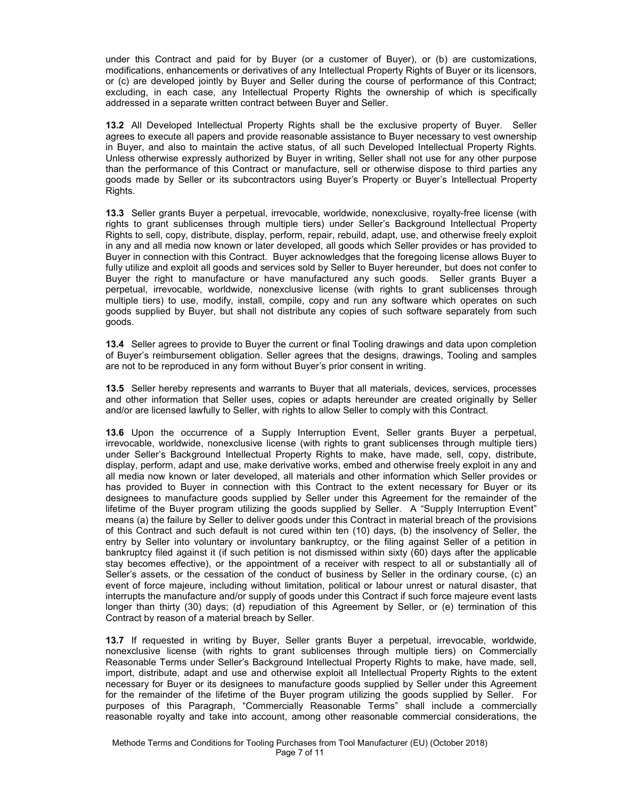under this Contract and paid for by Buyer (or a customer of Buyer), or (b) are customizations, modifications, enhancements or derivatives of any Intellectual Property Rights of Buyer or its licensors, or (c) are developed jointly by Buyer and Seller during the course of performance of this Contract; excluding, in each case, any Intellectual Property Rights the ownership of which is specifically addressed in a separate written contract between Buyer and Seller.

**13.2** All Developed Intellectual Property Rights shall be the exclusive property of Buyer. Seller agrees to execute all papers and provide reasonable assistance to Buyer necessary to vest ownership in Buyer, and also to maintain the active status, of all such Developed Intellectual Property Rights. Unless otherwise expressly authorized by Buyer in writing, Seller shall not use for any other purpose than the performance of this Contract or manufacture, sell or otherwise dispose to third parties any goods made by Seller or its subcontractors using Buyer's Property or Buyer's Intellectual Property Rights.

**13.3** Seller grants Buyer a perpetual, irrevocable, worldwide, nonexclusive, royalty-free license (with rights to grant sublicenses through multiple tiers) under Seller's Background Intellectual Property Rights to sell, copy, distribute, display, perform, repair, rebuild, adapt, use, and otherwise freely exploit in any and all media now known or later developed, all goods which Seller provides or has provided to Buyer in connection with this Contract. Buyer acknowledges that the foregoing license allows Buyer to fully utilize and exploit all goods and services sold by Seller to Buyer hereunder, but does not confer to Buyer the right to manufacture or have manufactured any such goods. Seller grants Buyer a perpetual, irrevocable, worldwide, nonexclusive license (with rights to grant sublicenses through multiple tiers) to use, modify, install, compile, copy and run any software which operates on such goods supplied by Buyer, but shall not distribute any copies of such software separately from such goods.

**13.4** Seller agrees to provide to Buyer the current or final Tooling drawings and data upon completion of Buyer's reimbursement obligation. Seller agrees that the designs, drawings, Tooling and samples are not to be reproduced in any form without Buyer's prior consent in writing.

**13.5** Seller hereby represents and warrants to Buyer that all materials, devices, services, processes and other information that Seller uses, copies or adapts hereunder are created originally by Seller and/or are licensed lawfully to Seller, with rights to allow Seller to comply with this Contract.

**13.6** Upon the occurrence of a Supply Interruption Event, Seller grants Buyer a perpetual, irrevocable, worldwide, nonexclusive license (with rights to grant sublicenses through multiple tiers) under Seller's Background Intellectual Property Rights to make, have made, sell, copy, distribute, display, perform, adapt and use, make derivative works, embed and otherwise freely exploit in any and all media now known or later developed, all materials and other information which Seller provides or has provided to Buyer in connection with this Contract to the extent necessary for Buyer or its designees to manufacture goods supplied by Seller under this Agreement for the remainder of the lifetime of the Buyer program utilizing the goods supplied by Seller. A "Supply Interruption Event" means (a) the failure by Seller to deliver goods under this Contract in material breach of the provisions of this Contract and such default is not cured within ten (10) days, (b) the insolvency of Seller, the entry by Seller into voluntary or involuntary bankruptcy, or the filing against Seller of a petition in bankruptcy filed against it (if such petition is not dismissed within sixty (60) days after the applicable stay becomes effective), or the appointment of a receiver with respect to all or substantially all of Seller's assets, or the cessation of the conduct of business by Seller in the ordinary course, (c) an event of force majeure, including without limitation, political or labour unrest or natural disaster, that interrupts the manufacture and/or supply of goods under this Contract if such force majeure event lasts longer than thirty (30) days; (d) repudiation of this Agreement by Seller, or (e) termination of this Contract by reason of a material breach by Seller.

**13.7** If requested in writing by Buyer, Seller grants Buyer a perpetual, irrevocable, worldwide, nonexclusive license (with rights to grant sublicenses through multiple tiers) on Commercially Reasonable Terms under Seller's Background Intellectual Property Rights to make, have made, sell, import, distribute, adapt and use and otherwise exploit all Intellectual Property Rights to the extent necessary for Buyer or its designees to manufacture goods supplied by Seller under this Agreement for the remainder of the lifetime of the Buyer program utilizing the goods supplied by Seller. For purposes of this Paragraph, "Commercially Reasonable Terms" shall include a commercially reasonable royalty and take into account, among other reasonable commercial considerations, the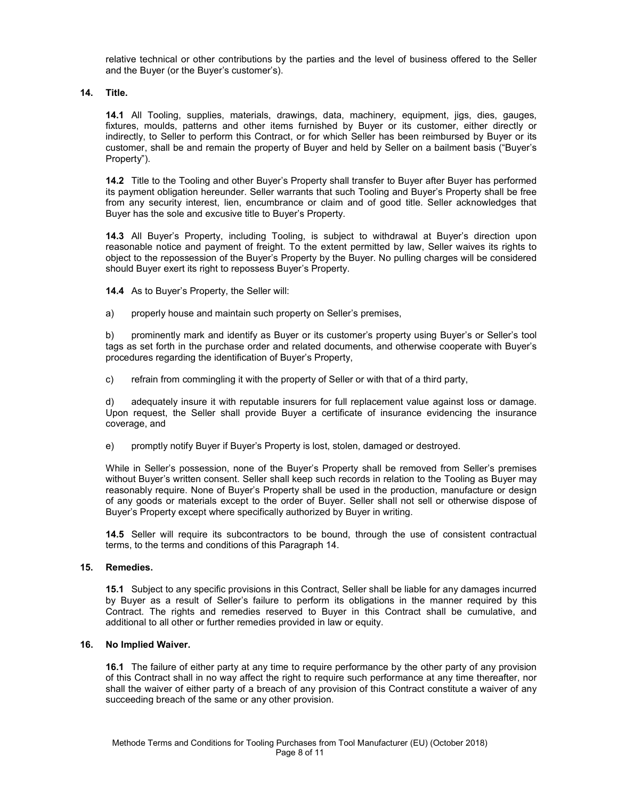relative technical or other contributions by the parties and the level of business offered to the Seller and the Buyer (or the Buyer's customer's).

**14. Title.** 

**14.1** All Tooling, supplies, materials, drawings, data, machinery, equipment, jigs, dies, gauges, fixtures, moulds, patterns and other items furnished by Buyer or its customer, either directly or indirectly, to Seller to perform this Contract, or for which Seller has been reimbursed by Buyer or its customer, shall be and remain the property of Buyer and held by Seller on a bailment basis ("Buyer's Property").

**14.2** Title to the Tooling and other Buyer's Property shall transfer to Buyer after Buyer has performed its payment obligation hereunder. Seller warrants that such Tooling and Buyer's Property shall be free from any security interest, lien, encumbrance or claim and of good title. Seller acknowledges that Buyer has the sole and excusive title to Buyer's Property.

**14.3** All Buyer's Property, including Tooling, is subject to withdrawal at Buyer's direction upon reasonable notice and payment of freight. To the extent permitted by law, Seller waives its rights to object to the repossession of the Buyer's Property by the Buyer. No pulling charges will be considered should Buyer exert its right to repossess Buyer's Property.

**14.4** As to Buyer's Property, the Seller will:

a) properly house and maintain such property on Seller's premises,

b) prominently mark and identify as Buyer or its customer's property using Buyer's or Seller's tool tags as set forth in the purchase order and related documents, and otherwise cooperate with Buyer's procedures regarding the identification of Buyer's Property,

c) refrain from commingling it with the property of Seller or with that of a third party,

d) adequately insure it with reputable insurers for full replacement value against loss or damage. Upon request, the Seller shall provide Buyer a certificate of insurance evidencing the insurance coverage, and

e) promptly notify Buyer if Buyer's Property is lost, stolen, damaged or destroyed.

While in Seller's possession, none of the Buyer's Property shall be removed from Seller's premises without Buyer's written consent. Seller shall keep such records in relation to the Tooling as Buyer may reasonably require. None of Buyer's Property shall be used in the production, manufacture or design of any goods or materials except to the order of Buyer. Seller shall not sell or otherwise dispose of Buyer's Property except where specifically authorized by Buyer in writing.

**14.5** Seller will require its subcontractors to be bound, through the use of consistent contractual terms, to the terms and conditions of this Paragraph 14.

#### **15. Remedies.**

**15.1** Subject to any specific provisions in this Contract, Seller shall be liable for any damages incurred by Buyer as a result of Seller's failure to perform its obligations in the manner required by this Contract. The rights and remedies reserved to Buyer in this Contract shall be cumulative, and additional to all other or further remedies provided in law or equity.

#### **16. No Implied Waiver.**

**16.1** The failure of either party at any time to require performance by the other party of any provision of this Contract shall in no way affect the right to require such performance at any time thereafter, nor shall the waiver of either party of a breach of any provision of this Contract constitute a waiver of any succeeding breach of the same or any other provision.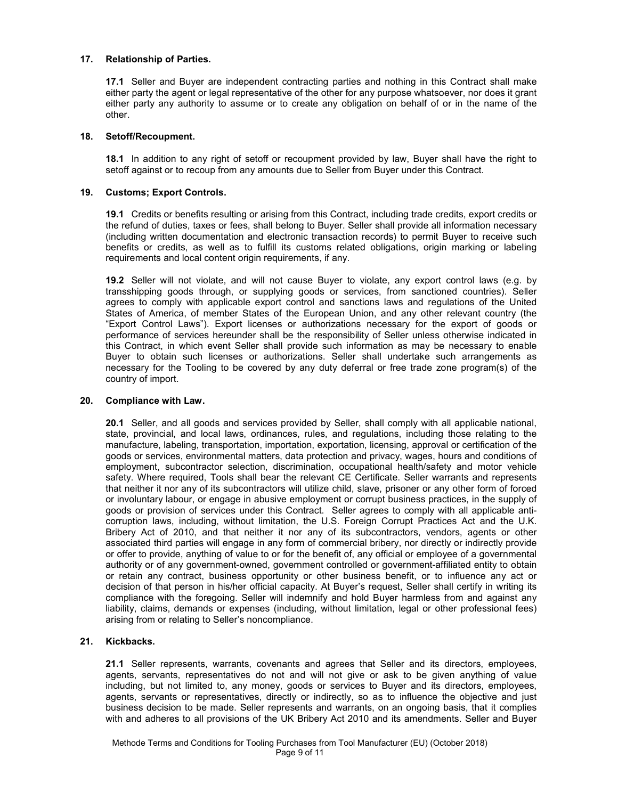## **17. Relationship of Parties.**

**17.1** Seller and Buyer are independent contracting parties and nothing in this Contract shall make either party the agent or legal representative of the other for any purpose whatsoever, nor does it grant either party any authority to assume or to create any obligation on behalf of or in the name of the other.

#### **18. Setoff/Recoupment.**

**18.1** In addition to any right of setoff or recoupment provided by law, Buyer shall have the right to setoff against or to recoup from any amounts due to Seller from Buyer under this Contract.

## **19. Customs; Export Controls.**

**19.1** Credits or benefits resulting or arising from this Contract, including trade credits, export credits or the refund of duties, taxes or fees, shall belong to Buyer. Seller shall provide all information necessary (including written documentation and electronic transaction records) to permit Buyer to receive such benefits or credits, as well as to fulfill its customs related obligations, origin marking or labeling requirements and local content origin requirements, if any.

**19.2** Seller will not violate, and will not cause Buyer to violate, any export control laws (e.g. by transshipping goods through, or supplying goods or services, from sanctioned countries). Seller agrees to comply with applicable export control and sanctions laws and regulations of the United States of America, of member States of the European Union, and any other relevant country (the "Export Control Laws"). Export licenses or authorizations necessary for the export of goods or performance of services hereunder shall be the responsibility of Seller unless otherwise indicated in this Contract, in which event Seller shall provide such information as may be necessary to enable Buyer to obtain such licenses or authorizations. Seller shall undertake such arrangements as necessary for the Tooling to be covered by any duty deferral or free trade zone program(s) of the country of import.

#### **20. Compliance with Law.**

**20.1** Seller, and all goods and services provided by Seller, shall comply with all applicable national, state, provincial, and local laws, ordinances, rules, and regulations, including those relating to the manufacture, labeling, transportation, importation, exportation, licensing, approval or certification of the goods or services, environmental matters, data protection and privacy, wages, hours and conditions of employment, subcontractor selection, discrimination, occupational health/safety and motor vehicle safety. Where required, Tools shall bear the relevant CE Certificate. Seller warrants and represents that neither it nor any of its subcontractors will utilize child, slave, prisoner or any other form of forced or involuntary labour, or engage in abusive employment or corrupt business practices, in the supply of goods or provision of services under this Contract. Seller agrees to comply with all applicable anticorruption laws, including, without limitation, the U.S. Foreign Corrupt Practices Act and the U.K. Bribery Act of 2010, and that neither it nor any of its subcontractors, vendors, agents or other associated third parties will engage in any form of commercial bribery, nor directly or indirectly provide or offer to provide, anything of value to or for the benefit of, any official or employee of a governmental authority or of any government-owned, government controlled or government-affiliated entity to obtain or retain any contract, business opportunity or other business benefit, or to influence any act or decision of that person in his/her official capacity. At Buyer's request, Seller shall certify in writing its compliance with the foregoing. Seller will indemnify and hold Buyer harmless from and against any liability, claims, demands or expenses (including, without limitation, legal or other professional fees) arising from or relating to Seller's noncompliance.

## **21. Kickbacks.**

**21.1** Seller represents, warrants, covenants and agrees that Seller and its directors, employees, agents, servants, representatives do not and will not give or ask to be given anything of value including, but not limited to, any money, goods or services to Buyer and its directors, employees, agents, servants or representatives, directly or indirectly, so as to influence the objective and just business decision to be made. Seller represents and warrants, on an ongoing basis, that it complies with and adheres to all provisions of the UK Bribery Act 2010 and its amendments. Seller and Buyer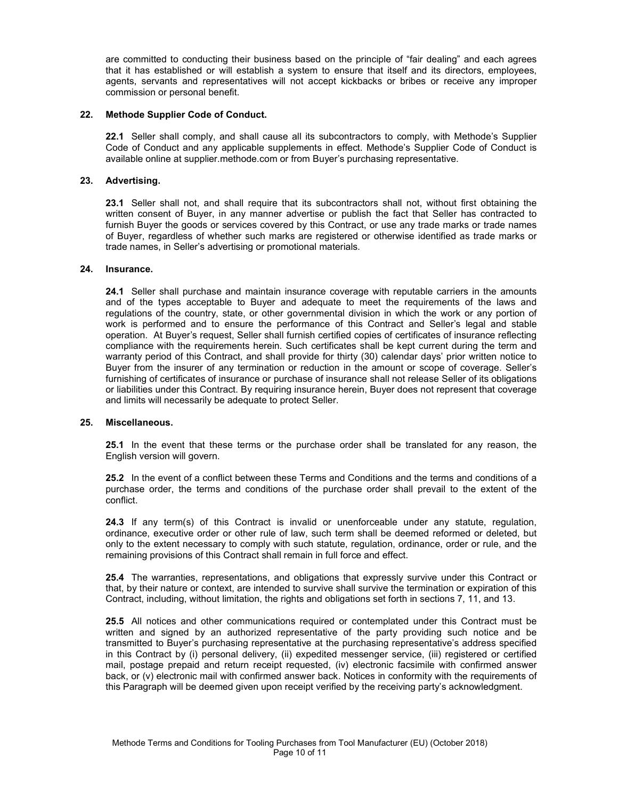are committed to conducting their business based on the principle of "fair dealing" and each agrees that it has established or will establish a system to ensure that itself and its directors, employees, agents, servants and representatives will not accept kickbacks or bribes or receive any improper commission or personal benefit.

#### **22. Methode Supplier Code of Conduct.**

**22.1** Seller shall comply, and shall cause all its subcontractors to comply, with Methode's Supplier Code of Conduct and any applicable supplements in effect. Methode's Supplier Code of Conduct is available online at supplier.methode.com or from Buyer's purchasing representative.

## **23. Advertising.**

**23.1** Seller shall not, and shall require that its subcontractors shall not, without first obtaining the written consent of Buyer, in any manner advertise or publish the fact that Seller has contracted to furnish Buyer the goods or services covered by this Contract, or use any trade marks or trade names of Buyer, regardless of whether such marks are registered or otherwise identified as trade marks or trade names, in Seller's advertising or promotional materials.

#### **24. Insurance.**

**24.1** Seller shall purchase and maintain insurance coverage with reputable carriers in the amounts and of the types acceptable to Buyer and adequate to meet the requirements of the laws and regulations of the country, state, or other governmental division in which the work or any portion of work is performed and to ensure the performance of this Contract and Seller's legal and stable operation. At Buyer's request, Seller shall furnish certified copies of certificates of insurance reflecting compliance with the requirements herein. Such certificates shall be kept current during the term and warranty period of this Contract, and shall provide for thirty (30) calendar days' prior written notice to Buyer from the insurer of any termination or reduction in the amount or scope of coverage. Seller's furnishing of certificates of insurance or purchase of insurance shall not release Seller of its obligations or liabilities under this Contract. By requiring insurance herein, Buyer does not represent that coverage and limits will necessarily be adequate to protect Seller.

#### **25. Miscellaneous.**

**25.1** In the event that these terms or the purchase order shall be translated for any reason, the English version will govern.

**25.2** In the event of a conflict between these Terms and Conditions and the terms and conditions of a purchase order, the terms and conditions of the purchase order shall prevail to the extent of the conflict.

**24.3** If any term(s) of this Contract is invalid or unenforceable under any statute, regulation, ordinance, executive order or other rule of law, such term shall be deemed reformed or deleted, but only to the extent necessary to comply with such statute, regulation, ordinance, order or rule, and the remaining provisions of this Contract shall remain in full force and effect.

**25.4** The warranties, representations, and obligations that expressly survive under this Contract or that, by their nature or context, are intended to survive shall survive the termination or expiration of this Contract, including, without limitation, the rights and obligations set forth in sections 7, 11, and 13.

**25.5** All notices and other communications required or contemplated under this Contract must be written and signed by an authorized representative of the party providing such notice and be transmitted to Buyer's purchasing representative at the purchasing representative's address specified in this Contract by (i) personal delivery, (ii) expedited messenger service, (iii) registered or certified mail, postage prepaid and return receipt requested, (iv) electronic facsimile with confirmed answer back, or (v) electronic mail with confirmed answer back. Notices in conformity with the requirements of this Paragraph will be deemed given upon receipt verified by the receiving party's acknowledgment.